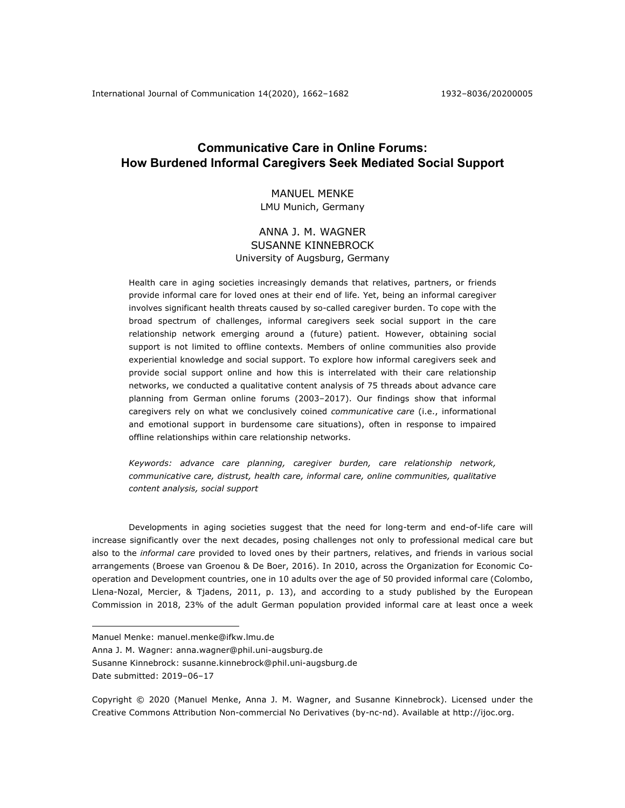# **Communicative Care in Online Forums: How Burdened Informal Caregivers Seek Mediated Social Support**

# MANUEL MENKE LMU Munich, Germany

# ANNA J. M. WAGNER SUSANNE KINNEBROCK University of Augsburg, Germany

Health care in aging societies increasingly demands that relatives, partners, or friends provide informal care for loved ones at their end of life. Yet, being an informal caregiver involves significant health threats caused by so-called caregiver burden. To cope with the broad spectrum of challenges, informal caregivers seek social support in the care relationship network emerging around a (future) patient. However, obtaining social support is not limited to offline contexts. Members of online communities also provide experiential knowledge and social support. To explore how informal caregivers seek and provide social support online and how this is interrelated with their care relationship networks, we conducted a qualitative content analysis of 75 threads about advance care planning from German online forums (2003–2017). Our findings show that informal caregivers rely on what we conclusively coined *communicative care* (i.e., informational and emotional support in burdensome care situations), often in response to impaired offline relationships within care relationship networks.

*Keywords: advance care planning, caregiver burden, care relationship network, communicative care, distrust, health care, informal care, online communities, qualitative content analysis, social support*

Developments in aging societies suggest that the need for long-term and end-of-life care will increase significantly over the next decades, posing challenges not only to professional medical care but also to the *informal care* provided to loved ones by their partners, relatives, and friends in various social arrangements (Broese van Groenou & De Boer, 2016). In 2010, across the Organization for Economic Cooperation and Development countries, one in 10 adults over the age of 50 provided informal care (Colombo, Llena-Nozal, Mercier, & Tjadens, 2011, p. 13), and according to a study published by the European Commission in 2018, 23% of the adult German population provided informal care at least once a week

Manuel Menke: manuel.menke@ifkw.lmu.de

Anna J. M. Wagner: anna.wagner@phil.uni-augsburg.de

Susanne Kinnebrock: susanne.kinnebrock@phil.uni-augsburg.de

Date submitted: 2019–06–17

Copyright © 2020 (Manuel Menke, Anna J. M. Wagner, and Susanne Kinnebrock). Licensed under the Creative Commons Attribution Non-commercial No Derivatives (by-nc-nd). Available at http://ijoc.org.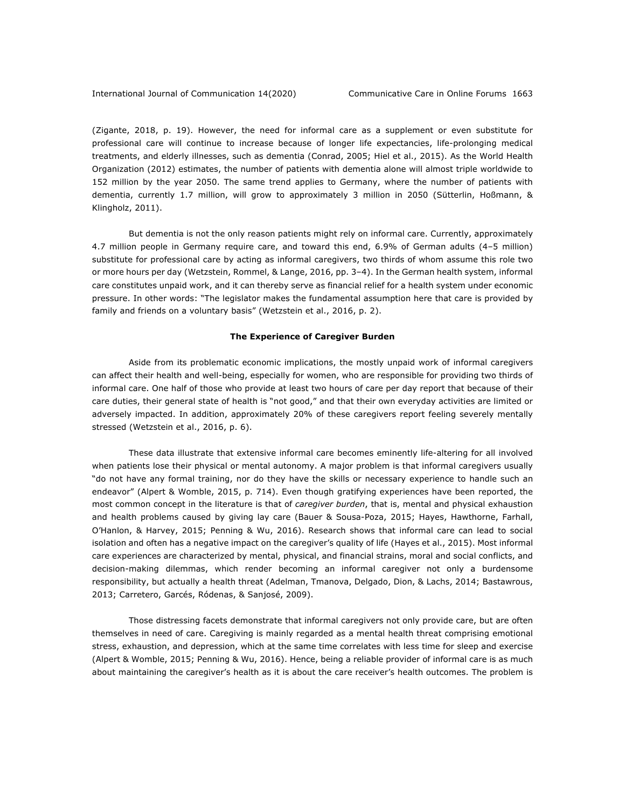(Zigante, 2018, p. 19). However, the need for informal care as a supplement or even substitute for professional care will continue to increase because of longer life expectancies, life-prolonging medical treatments, and elderly illnesses, such as dementia (Conrad, 2005; Hiel et al., 2015). As the World Health Organization (2012) estimates, the number of patients with dementia alone will almost triple worldwide to 152 million by the year 2050. The same trend applies to Germany, where the number of patients with dementia, currently 1.7 million, will grow to approximately 3 million in 2050 (Sütterlin, Hoßmann, & Klingholz, 2011).

But dementia is not the only reason patients might rely on informal care. Currently, approximately 4.7 million people in Germany require care, and toward this end, 6.9% of German adults (4–5 million) substitute for professional care by acting as informal caregivers, two thirds of whom assume this role two or more hours per day (Wetzstein, Rommel, & Lange, 2016, pp. 3–4). In the German health system, informal care constitutes unpaid work, and it can thereby serve as financial relief for a health system under economic pressure. In other words: "The legislator makes the fundamental assumption here that care is provided by family and friends on a voluntary basis" (Wetzstein et al., 2016, p. 2).

# **The Experience of Caregiver Burden**

Aside from its problematic economic implications, the mostly unpaid work of informal caregivers can affect their health and well-being, especially for women, who are responsible for providing two thirds of informal care. One half of those who provide at least two hours of care per day report that because of their care duties, their general state of health is "not good," and that their own everyday activities are limited or adversely impacted. In addition, approximately 20% of these caregivers report feeling severely mentally stressed (Wetzstein et al., 2016, p. 6).

These data illustrate that extensive informal care becomes eminently life-altering for all involved when patients lose their physical or mental autonomy. A major problem is that informal caregivers usually "do not have any formal training, nor do they have the skills or necessary experience to handle such an endeavor" (Alpert & Womble, 2015, p. 714). Even though gratifying experiences have been reported, the most common concept in the literature is that of *caregiver burden*, that is, mental and physical exhaustion and health problems caused by giving lay care (Bauer & Sousa-Poza, 2015; Hayes, Hawthorne, Farhall, O'Hanlon, & Harvey, 2015; Penning & Wu, 2016). Research shows that informal care can lead to social isolation and often has a negative impact on the caregiver's quality of life (Hayes et al., 2015). Most informal care experiences are characterized by mental, physical, and financial strains, moral and social conflicts, and decision-making dilemmas, which render becoming an informal caregiver not only a burdensome responsibility, but actually a health threat (Adelman, Tmanova, Delgado, Dion, & Lachs, 2014; Bastawrous, 2013; Carretero, Garcés, Ródenas, & Sanjosé, 2009).

Those distressing facets demonstrate that informal caregivers not only provide care, but are often themselves in need of care. Caregiving is mainly regarded as a mental health threat comprising emotional stress, exhaustion, and depression, which at the same time correlates with less time for sleep and exercise (Alpert & Womble, 2015; Penning & Wu, 2016). Hence, being a reliable provider of informal care is as much about maintaining the caregiver's health as it is about the care receiver's health outcomes. The problem is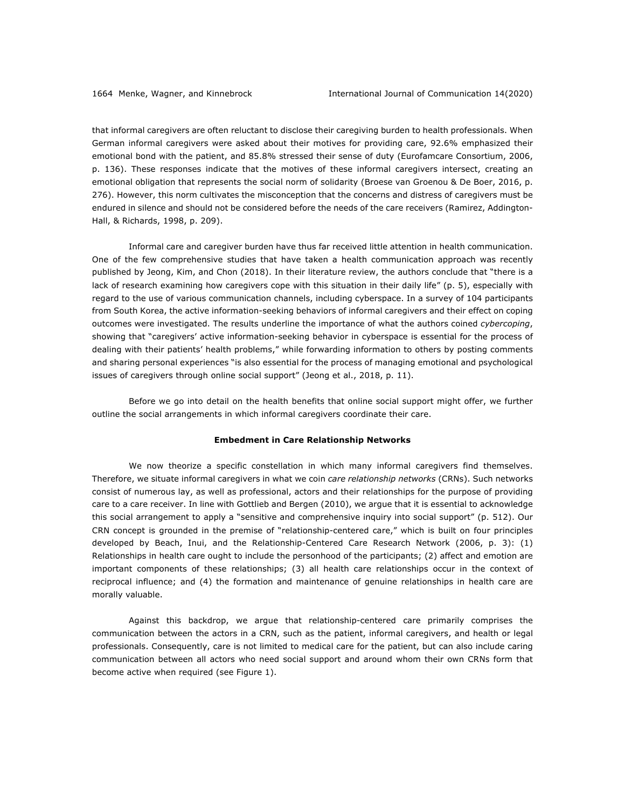that informal caregivers are often reluctant to disclose their caregiving burden to health professionals. When German informal caregivers were asked about their motives for providing care, 92.6% emphasized their emotional bond with the patient, and 85.8% stressed their sense of duty (Eurofamcare Consortium, 2006, p. 136). These responses indicate that the motives of these informal caregivers intersect, creating an emotional obligation that represents the social norm of solidarity (Broese van Groenou & De Boer, 2016, p. 276). However, this norm cultivates the misconception that the concerns and distress of caregivers must be endured in silence and should not be considered before the needs of the care receivers (Ramirez, Addington-Hall, & Richards, 1998, p. 209).

Informal care and caregiver burden have thus far received little attention in health communication. One of the few comprehensive studies that have taken a health communication approach was recently published by Jeong, Kim, and Chon (2018). In their literature review, the authors conclude that "there is a lack of research examining how caregivers cope with this situation in their daily life" (p. 5), especially with regard to the use of various communication channels, including cyberspace. In a survey of 104 participants from South Korea, the active information-seeking behaviors of informal caregivers and their effect on coping outcomes were investigated. The results underline the importance of what the authors coined *cybercoping*, showing that "caregivers' active information-seeking behavior in cyberspace is essential for the process of dealing with their patients' health problems," while forwarding information to others by posting comments and sharing personal experiences "is also essential for the process of managing emotional and psychological issues of caregivers through online social support" (Jeong et al., 2018, p. 11).

Before we go into detail on the health benefits that online social support might offer, we further outline the social arrangements in which informal caregivers coordinate their care.

#### **Embedment in Care Relationship Networks**

We now theorize a specific constellation in which many informal caregivers find themselves. Therefore, we situate informal caregivers in what we coin *care relationship networks* (CRNs). Such networks consist of numerous lay, as well as professional, actors and their relationships for the purpose of providing care to a care receiver. In line with Gottlieb and Bergen (2010), we argue that it is essential to acknowledge this social arrangement to apply a "sensitive and comprehensive inquiry into social support" (p. 512). Our CRN concept is grounded in the premise of "relationship-centered care," which is built on four principles developed by Beach, Inui, and the Relationship-Centered Care Research Network (2006, p. 3): (1) Relationships in health care ought to include the personhood of the participants; (2) affect and emotion are important components of these relationships; (3) all health care relationships occur in the context of reciprocal influence; and (4) the formation and maintenance of genuine relationships in health care are morally valuable.

Against this backdrop, we argue that relationship-centered care primarily comprises the communication between the actors in a CRN, such as the patient, informal caregivers, and health or legal professionals. Consequently, care is not limited to medical care for the patient, but can also include caring communication between all actors who need social support and around whom their own CRNs form that become active when required (see Figure 1).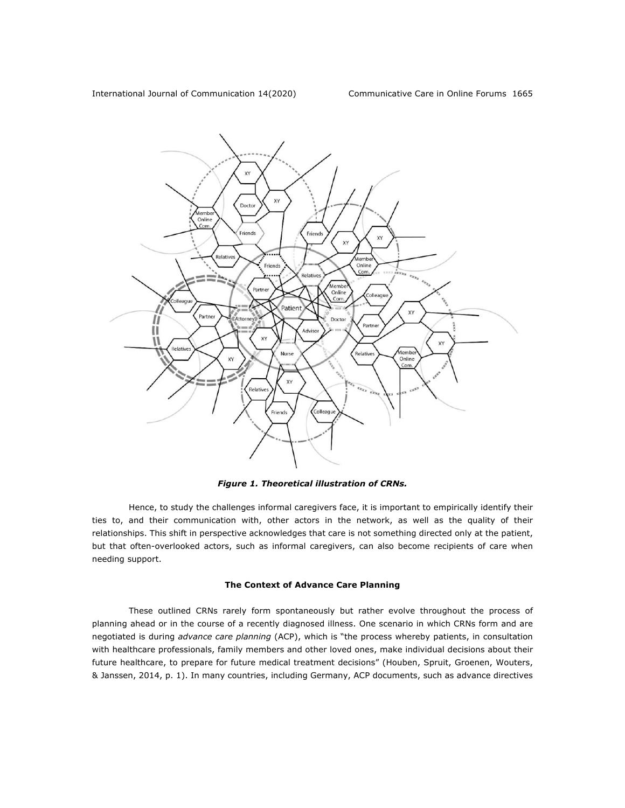

*Figure 1. Theoretical illustration of CRNs.*

Hence, to study the challenges informal caregivers face, it is important to empirically identify their ties to, and their communication with, other actors in the network, as well as the quality of their relationships. This shift in perspective acknowledges that care is not something directed only at the patient, but that often-overlooked actors, such as informal caregivers, can also become recipients of care when needing support.

# **The Context of Advance Care Planning**

These outlined CRNs rarely form spontaneously but rather evolve throughout the process of planning ahead or in the course of a recently diagnosed illness. One scenario in which CRNs form and are negotiated is during *advance care planning* (ACP), which is "the process whereby patients, in consultation with healthcare professionals, family members and other loved ones, make individual decisions about their future healthcare, to prepare for future medical treatment decisions" (Houben, Spruit, Groenen, Wouters, & Janssen, 2014, p. 1). In many countries, including Germany, ACP documents, such as advance directives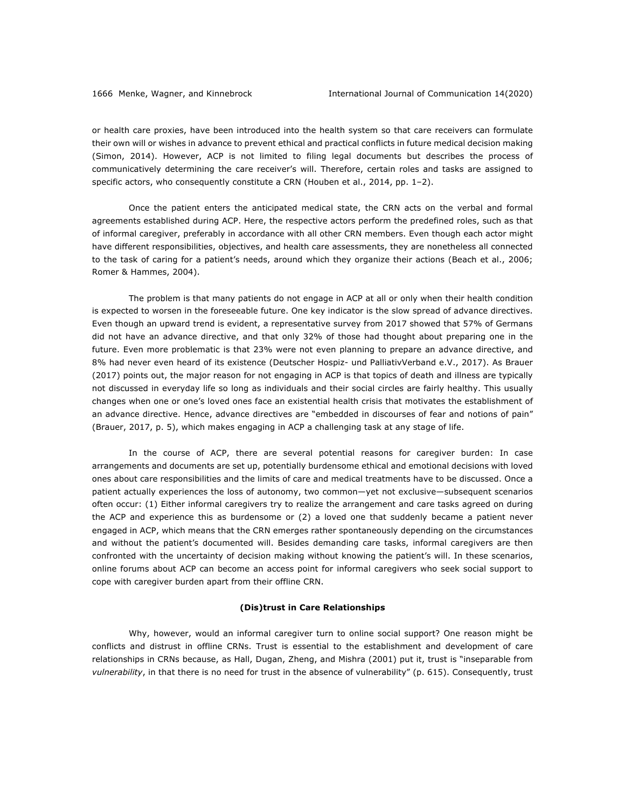or health care proxies, have been introduced into the health system so that care receivers can formulate their own will or wishes in advance to prevent ethical and practical conflicts in future medical decision making (Simon, 2014). However, ACP is not limited to filing legal documents but describes the process of communicatively determining the care receiver's will. Therefore, certain roles and tasks are assigned to specific actors, who consequently constitute a CRN (Houben et al., 2014, pp. 1-2).

Once the patient enters the anticipated medical state, the CRN acts on the verbal and formal agreements established during ACP. Here, the respective actors perform the predefined roles, such as that of informal caregiver, preferably in accordance with all other CRN members. Even though each actor might have different responsibilities, objectives, and health care assessments, they are nonetheless all connected to the task of caring for a patient's needs, around which they organize their actions (Beach et al., 2006; Romer & Hammes, 2004).

The problem is that many patients do not engage in ACP at all or only when their health condition is expected to worsen in the foreseeable future. One key indicator is the slow spread of advance directives. Even though an upward trend is evident, a representative survey from 2017 showed that 57% of Germans did not have an advance directive, and that only 32% of those had thought about preparing one in the future. Even more problematic is that 23% were not even planning to prepare an advance directive, and 8% had never even heard of its existence (Deutscher Hospiz- und PalliativVerband e.V., 2017). As Brauer (2017) points out, the major reason for not engaging in ACP is that topics of death and illness are typically not discussed in everyday life so long as individuals and their social circles are fairly healthy. This usually changes when one or one's loved ones face an existential health crisis that motivates the establishment of an advance directive. Hence, advance directives are "embedded in discourses of fear and notions of pain" (Brauer, 2017, p. 5), which makes engaging in ACP a challenging task at any stage of life.

In the course of ACP, there are several potential reasons for caregiver burden: In case arrangements and documents are set up, potentially burdensome ethical and emotional decisions with loved ones about care responsibilities and the limits of care and medical treatments have to be discussed. Once a patient actually experiences the loss of autonomy, two common—yet not exclusive—subsequent scenarios often occur: (1) Either informal caregivers try to realize the arrangement and care tasks agreed on during the ACP and experience this as burdensome or (2) a loved one that suddenly became a patient never engaged in ACP, which means that the CRN emerges rather spontaneously depending on the circumstances and without the patient's documented will. Besides demanding care tasks, informal caregivers are then confronted with the uncertainty of decision making without knowing the patient's will. In these scenarios, online forums about ACP can become an access point for informal caregivers who seek social support to cope with caregiver burden apart from their offline CRN.

#### **(Dis)trust in Care Relationships**

Why, however, would an informal caregiver turn to online social support? One reason might be conflicts and distrust in offline CRNs. Trust is essential to the establishment and development of care relationships in CRNs because, as Hall, Dugan, Zheng, and Mishra (2001) put it, trust is "inseparable from *vulnerability*, in that there is no need for trust in the absence of vulnerability" (p. 615). Consequently, trust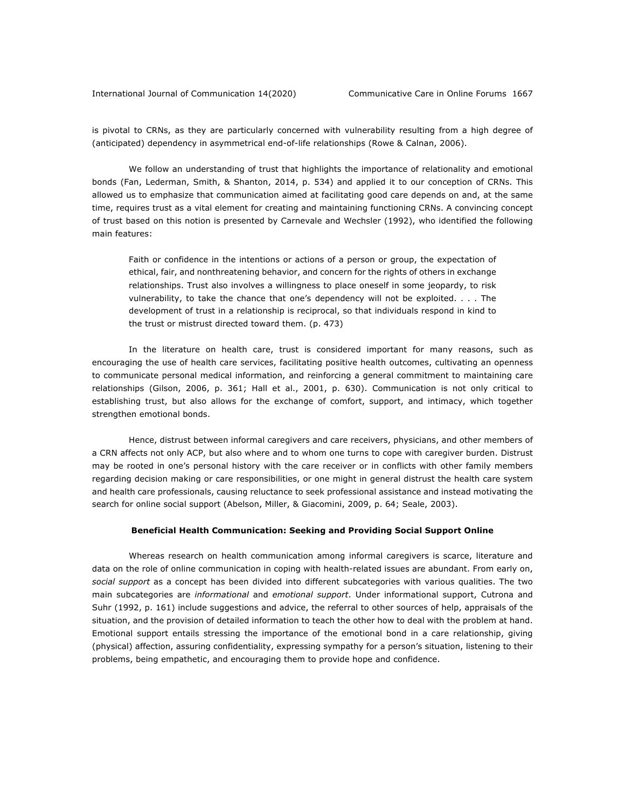is pivotal to CRNs, as they are particularly concerned with vulnerability resulting from a high degree of (anticipated) dependency in asymmetrical end-of-life relationships (Rowe & Calnan, 2006).

We follow an understanding of trust that highlights the importance of relationality and emotional bonds (Fan, Lederman, Smith, & Shanton, 2014, p. 534) and applied it to our conception of CRNs. This allowed us to emphasize that communication aimed at facilitating good care depends on and, at the same time, requires trust as a vital element for creating and maintaining functioning CRNs. A convincing concept of trust based on this notion is presented by Carnevale and Wechsler (1992), who identified the following main features:

Faith or confidence in the intentions or actions of a person or group, the expectation of ethical, fair, and nonthreatening behavior, and concern for the rights of others in exchange relationships. Trust also involves a willingness to place oneself in some jeopardy, to risk vulnerability, to take the chance that one's dependency will not be exploited. . . . The development of trust in a relationship is reciprocal, so that individuals respond in kind to the trust or mistrust directed toward them. (p. 473)

In the literature on health care, trust is considered important for many reasons, such as encouraging the use of health care services, facilitating positive health outcomes, cultivating an openness to communicate personal medical information, and reinforcing a general commitment to maintaining care relationships (Gilson, 2006, p. 361; Hall et al., 2001, p. 630). Communication is not only critical to establishing trust, but also allows for the exchange of comfort, support, and intimacy, which together strengthen emotional bonds.

Hence, distrust between informal caregivers and care receivers, physicians, and other members of a CRN affects not only ACP, but also where and to whom one turns to cope with caregiver burden. Distrust may be rooted in one's personal history with the care receiver or in conflicts with other family members regarding decision making or care responsibilities, or one might in general distrust the health care system and health care professionals, causing reluctance to seek professional assistance and instead motivating the search for online social support (Abelson, Miller, & Giacomini, 2009, p. 64; Seale, 2003).

#### **Beneficial Health Communication: Seeking and Providing Social Support Online**

Whereas research on health communication among informal caregivers is scarce, literature and data on the role of online communication in coping with health-related issues are abundant. From early on, *social support* as a concept has been divided into different subcategories with various qualities. The two main subcategories are *informational* and *emotional support*. Under informational support, Cutrona and Suhr (1992, p. 161) include suggestions and advice, the referral to other sources of help, appraisals of the situation, and the provision of detailed information to teach the other how to deal with the problem at hand. Emotional support entails stressing the importance of the emotional bond in a care relationship, giving (physical) affection, assuring confidentiality, expressing sympathy for a person's situation, listening to their problems, being empathetic, and encouraging them to provide hope and confidence.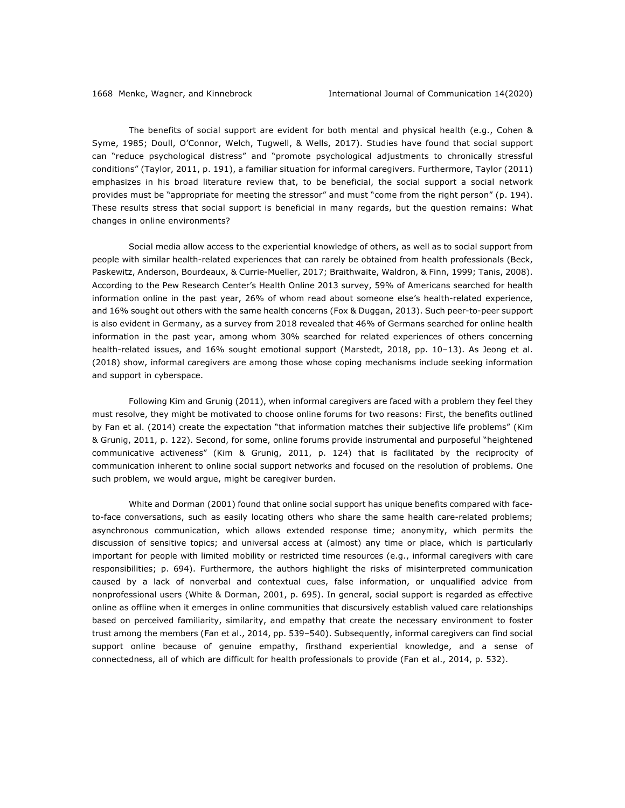The benefits of social support are evident for both mental and physical health (e.g., Cohen & Syme, 1985; Doull, O'Connor, Welch, Tugwell, & Wells, 2017). Studies have found that social support can "reduce psychological distress" and "promote psychological adjustments to chronically stressful conditions" (Taylor, 2011, p. 191), a familiar situation for informal caregivers. Furthermore, Taylor (2011) emphasizes in his broad literature review that, to be beneficial, the social support a social network provides must be "appropriate for meeting the stressor" and must "come from the right person" (p. 194). These results stress that social support is beneficial in many regards, but the question remains: What changes in online environments?

Social media allow access to the experiential knowledge of others, as well as to social support from people with similar health-related experiences that can rarely be obtained from health professionals (Beck, Paskewitz, Anderson, Bourdeaux, & Currie-Mueller, 2017; Braithwaite, Waldron, & Finn, 1999; Tanis, 2008). According to the Pew Research Center's Health Online 2013 survey, 59% of Americans searched for health information online in the past year, 26% of whom read about someone else's health-related experience, and 16% sought out others with the same health concerns (Fox & Duggan, 2013). Such peer-to-peer support is also evident in Germany, as a survey from 2018 revealed that 46% of Germans searched for online health information in the past year, among whom 30% searched for related experiences of others concerning health-related issues, and 16% sought emotional support (Marstedt, 2018, pp. 10–13). As Jeong et al. (2018) show, informal caregivers are among those whose coping mechanisms include seeking information and support in cyberspace.

Following Kim and Grunig (2011), when informal caregivers are faced with a problem they feel they must resolve, they might be motivated to choose online forums for two reasons: First, the benefits outlined by Fan et al. (2014) create the expectation "that information matches their subjective life problems" (Kim & Grunig, 2011, p. 122). Second, for some, online forums provide instrumental and purposeful "heightened communicative activeness" (Kim & Grunig, 2011, p. 124) that is facilitated by the reciprocity of communication inherent to online social support networks and focused on the resolution of problems. One such problem, we would argue, might be caregiver burden.

White and Dorman (2001) found that online social support has unique benefits compared with faceto-face conversations, such as easily locating others who share the same health care-related problems; asynchronous communication, which allows extended response time; anonymity, which permits the discussion of sensitive topics; and universal access at (almost) any time or place, which is particularly important for people with limited mobility or restricted time resources (e.g., informal caregivers with care responsibilities; p. 694). Furthermore, the authors highlight the risks of misinterpreted communication caused by a lack of nonverbal and contextual cues, false information, or unqualified advice from nonprofessional users (White & Dorman, 2001, p. 695). In general, social support is regarded as effective online as offline when it emerges in online communities that discursively establish valued care relationships based on perceived familiarity, similarity, and empathy that create the necessary environment to foster trust among the members (Fan et al., 2014, pp. 539–540). Subsequently, informal caregivers can find social support online because of genuine empathy, firsthand experiential knowledge, and a sense of connectedness, all of which are difficult for health professionals to provide (Fan et al., 2014, p. 532).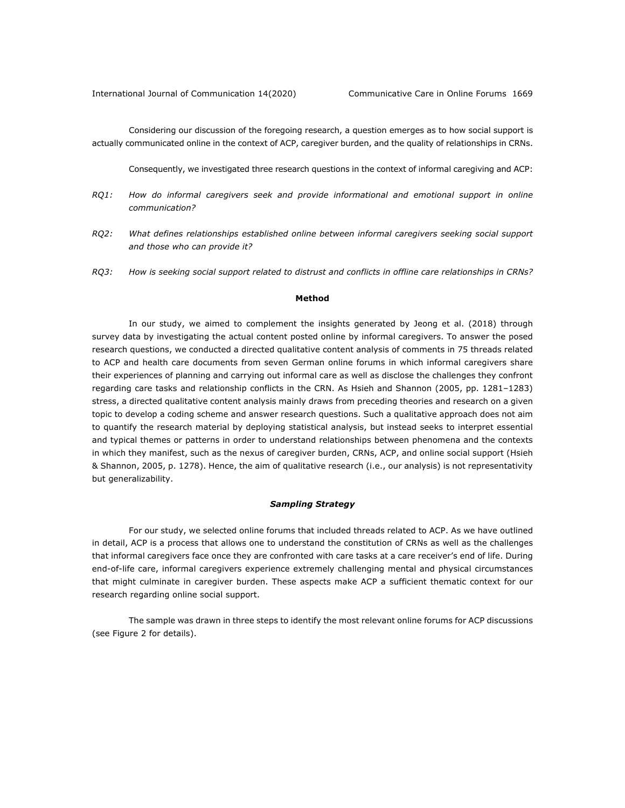Considering our discussion of the foregoing research, a question emerges as to how social support is actually communicated online in the context of ACP, caregiver burden, and the quality of relationships in CRNs.

Consequently, we investigated three research questions in the context of informal caregiving and ACP:

- *RQ1: How do informal caregivers seek and provide informational and emotional support in online communication?*
- *RQ2: What defines relationships established online between informal caregivers seeking social support and those who can provide it?*
- *RQ3: How is seeking social support related to distrust and conflicts in offline care relationships in CRNs?*

#### **Method**

In our study, we aimed to complement the insights generated by Jeong et al. (2018) through survey data by investigating the actual content posted online by informal caregivers. To answer the posed research questions, we conducted a directed qualitative content analysis of comments in 75 threads related to ACP and health care documents from seven German online forums in which informal caregivers share their experiences of planning and carrying out informal care as well as disclose the challenges they confront regarding care tasks and relationship conflicts in the CRN. As Hsieh and Shannon (2005, pp. 1281–1283) stress, a directed qualitative content analysis mainly draws from preceding theories and research on a given topic to develop a coding scheme and answer research questions. Such a qualitative approach does not aim to quantify the research material by deploying statistical analysis, but instead seeks to interpret essential and typical themes or patterns in order to understand relationships between phenomena and the contexts in which they manifest, such as the nexus of caregiver burden, CRNs, ACP, and online social support (Hsieh & Shannon, 2005, p. 1278). Hence, the aim of qualitative research (i.e., our analysis) is not representativity but generalizability.

#### *Sampling Strategy*

For our study, we selected online forums that included threads related to ACP. As we have outlined in detail, ACP is a process that allows one to understand the constitution of CRNs as well as the challenges that informal caregivers face once they are confronted with care tasks at a care receiver's end of life. During end-of-life care, informal caregivers experience extremely challenging mental and physical circumstances that might culminate in caregiver burden. These aspects make ACP a sufficient thematic context for our research regarding online social support.

The sample was drawn in three steps to identify the most relevant online forums for ACP discussions (see Figure 2 for details).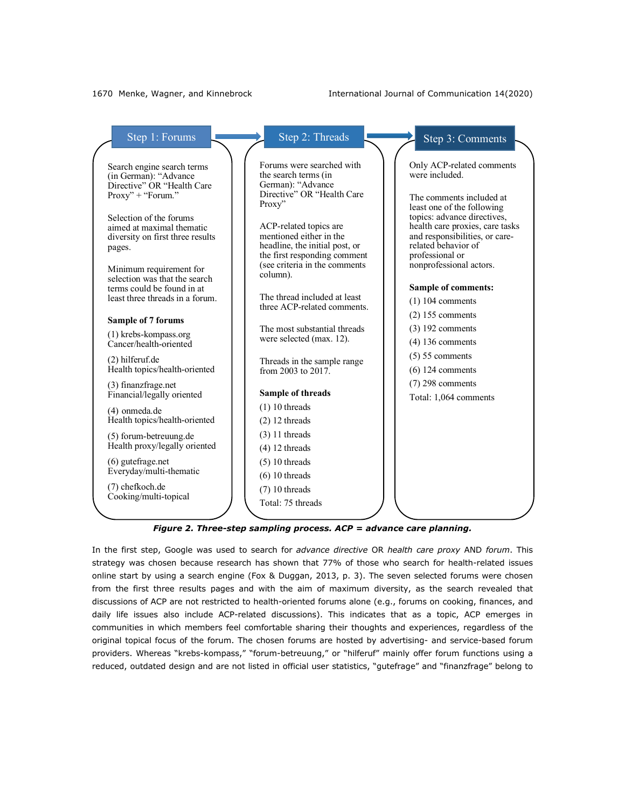#### 1670 Menke, Wagner, and Kinnebrock International Journal of Communication 14(2020)

| Step 1: Forums                                                                                                            | Step 2: Threads                                                                                                                                      | Step 3: Comments                                                                                                                                                      |
|---------------------------------------------------------------------------------------------------------------------------|------------------------------------------------------------------------------------------------------------------------------------------------------|-----------------------------------------------------------------------------------------------------------------------------------------------------------------------|
| Search engine search terms<br>(in German): "Advance<br>Directive" OR "Health Care<br>Proxy" + "Forum."                    | Forums were searched with<br>the search terms (in<br>German): "Advance<br>Directive" OR "Health Care<br>Proxy"                                       | Only ACP-related comments<br>were included.<br>The comments included at<br>least one of the following                                                                 |
| Selection of the forums<br>aimed at maximal thematic<br>diversity on first three results<br>pages.                        | ACP-related topics are<br>mentioned either in the<br>headline, the initial post, or<br>the first responding comment<br>(see criteria in the comments | topics: advance directives,<br>health care proxies, care tasks<br>and responsibilities, or care-<br>related behavior of<br>professional or<br>nonprofessional actors. |
| Minimum requirement for<br>selection was that the search<br>terms could be found in at<br>least three threads in a forum. | column).<br>The thread included at least<br>three ACP-related comments.                                                                              | <b>Sample of comments:</b><br>$(1)$ 104 comments                                                                                                                      |
| Sample of 7 forums                                                                                                        |                                                                                                                                                      | $(2)$ 155 comments                                                                                                                                                    |
| (1) krebs-kompass.org<br>Cancer/health-oriented                                                                           | The most substantial threads<br>were selected (max. 12).                                                                                             | $(3)$ 192 comments<br>$(4)$ 136 comments                                                                                                                              |
| (2) hilferuf.de<br>Health topics/health-oriented                                                                          | Threads in the sample range<br>from 2003 to $2017$ .                                                                                                 | $(5)$ 55 comments<br>$(6)$ 124 comments                                                                                                                               |
| (3) finanzfrage.net<br>Financial/legally oriented                                                                         | Sample of threads                                                                                                                                    | $(7)$ 298 comments<br>Total: 1,064 comments                                                                                                                           |
| (4) onmeda.de<br>Health topics/health-oriented                                                                            | $(1)$ 10 threads                                                                                                                                     |                                                                                                                                                                       |
|                                                                                                                           | $(2)$ 12 threads                                                                                                                                     |                                                                                                                                                                       |
| (5) forum-betreuung.de<br>Health proxy/legally oriented                                                                   | $(3)$ 11 threads                                                                                                                                     |                                                                                                                                                                       |
|                                                                                                                           | $(4)$ 12 threads                                                                                                                                     |                                                                                                                                                                       |
| $(6)$ gutefrage.net<br>Everyday/multi-thematic                                                                            | $(5)$ 10 threads                                                                                                                                     |                                                                                                                                                                       |
|                                                                                                                           | $(6)$ 10 threads                                                                                                                                     |                                                                                                                                                                       |
| (7) chefkoch.de<br>Cooking/multi-topical                                                                                  | $(7)$ 10 threads                                                                                                                                     |                                                                                                                                                                       |
|                                                                                                                           | Total: 75 threads                                                                                                                                    |                                                                                                                                                                       |

*Figure 2. Three-step sampling process. ACP = advance care planning.*

In the first step, Google was used to search for *advance directive* OR *health care proxy* AND *forum*. This strategy was chosen because research has shown that 77% of those who search for health-related issues online start by using a search engine (Fox & Duggan, 2013, p. 3). The seven selected forums were chosen from the first three results pages and with the aim of maximum diversity, as the search revealed that discussions of ACP are not restricted to health-oriented forums alone (e.g., forums on cooking, finances, and daily life issues also include ACP-related discussions). This indicates that as a topic, ACP emerges in communities in which members feel comfortable sharing their thoughts and experiences, regardless of the original topical focus of the forum. The chosen forums are hosted by advertising- and service-based forum providers. Whereas "krebs-kompass," "forum-betreuung," or "hilferuf" mainly offer forum functions using a reduced, outdated design and are not listed in official user statistics, "gutefrage" and "finanzfrage" belong to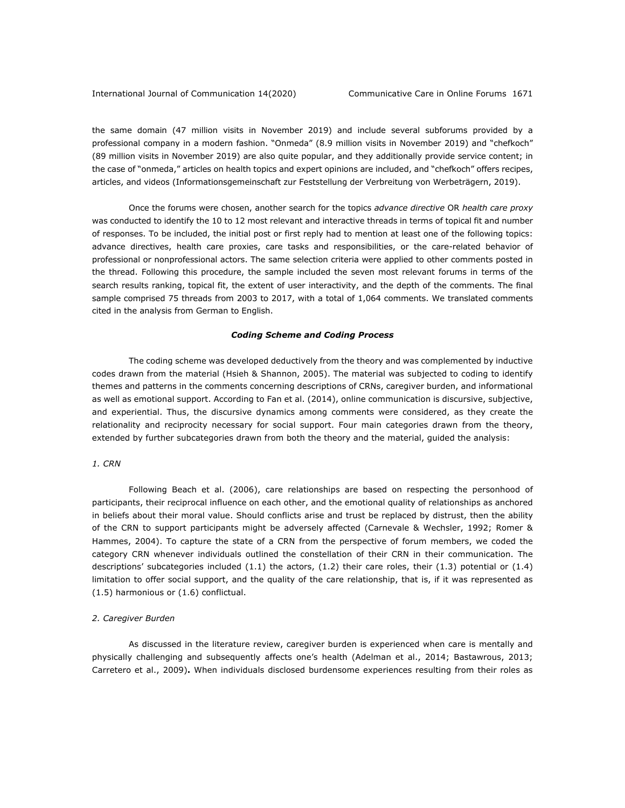the same domain (47 million visits in November 2019) and include several subforums provided by a professional company in a modern fashion. "Onmeda" (8.9 million visits in November 2019) and "chefkoch" (89 million visits in November 2019) are also quite popular, and they additionally provide service content; in the case of "onmeda," articles on health topics and expert opinions are included, and "chefkoch" offers recipes, articles, and videos (Informationsgemeinschaft zur Feststellung der Verbreitung von Werbeträgern, 2019).

Once the forums were chosen, another search for the topics *advance directive* OR *health care proxy* was conducted to identify the 10 to 12 most relevant and interactive threads in terms of topical fit and number of responses. To be included, the initial post or first reply had to mention at least one of the following topics: advance directives, health care proxies, care tasks and responsibilities, or the care-related behavior of professional or nonprofessional actors. The same selection criteria were applied to other comments posted in the thread. Following this procedure, the sample included the seven most relevant forums in terms of the search results ranking, topical fit, the extent of user interactivity, and the depth of the comments. The final sample comprised 75 threads from 2003 to 2017, with a total of 1,064 comments. We translated comments cited in the analysis from German to English.

#### *Coding Scheme and Coding Process*

The coding scheme was developed deductively from the theory and was complemented by inductive codes drawn from the material (Hsieh & Shannon, 2005). The material was subjected to coding to identify themes and patterns in the comments concerning descriptions of CRNs, caregiver burden, and informational as well as emotional support. According to Fan et al. (2014), online communication is discursive, subjective, and experiential. Thus, the discursive dynamics among comments were considered, as they create the relationality and reciprocity necessary for social support. Four main categories drawn from the theory, extended by further subcategories drawn from both the theory and the material, guided the analysis:

#### *1. CRN*

Following Beach et al. (2006), care relationships are based on respecting the personhood of participants, their reciprocal influence on each other, and the emotional quality of relationships as anchored in beliefs about their moral value. Should conflicts arise and trust be replaced by distrust, then the ability of the CRN to support participants might be adversely affected (Carnevale & Wechsler, 1992; Romer & Hammes, 2004). To capture the state of a CRN from the perspective of forum members, we coded the category CRN whenever individuals outlined the constellation of their CRN in their communication. The descriptions' subcategories included (1.1) the actors, (1.2) their care roles, their (1.3) potential or (1.4) limitation to offer social support, and the quality of the care relationship, that is, if it was represented as (1.5) harmonious or (1.6) conflictual.

#### *2. Caregiver Burden*

As discussed in the literature review, caregiver burden is experienced when care is mentally and physically challenging and subsequently affects one's health (Adelman et al., 2014; Bastawrous, 2013; Carretero et al., 2009)**.** When individuals disclosed burdensome experiences resulting from their roles as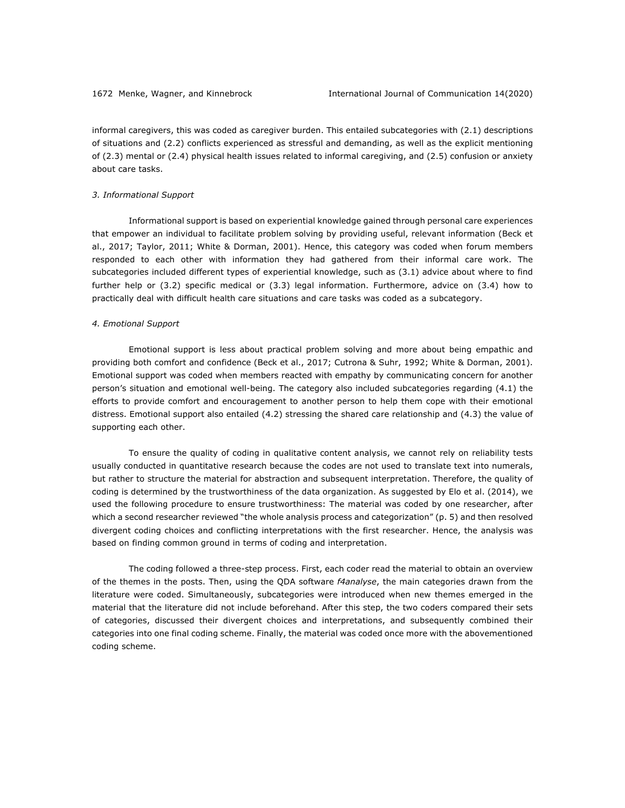informal caregivers, this was coded as caregiver burden. This entailed subcategories with (2.1) descriptions of situations and (2.2) conflicts experienced as stressful and demanding, as well as the explicit mentioning of (2.3) mental or (2.4) physical health issues related to informal caregiving, and (2.5) confusion or anxiety about care tasks.

#### *3. Informational Support*

Informational support is based on experiential knowledge gained through personal care experiences that empower an individual to facilitate problem solving by providing useful, relevant information (Beck et al., 2017; Taylor, 2011; White & Dorman, 2001). Hence, this category was coded when forum members responded to each other with information they had gathered from their informal care work. The subcategories included different types of experiential knowledge, such as (3.1) advice about where to find further help or (3.2) specific medical or (3.3) legal information. Furthermore, advice on (3.4) how to practically deal with difficult health care situations and care tasks was coded as a subcategory.

#### *4. Emotional Support*

Emotional support is less about practical problem solving and more about being empathic and providing both comfort and confidence (Beck et al., 2017; Cutrona & Suhr, 1992; White & Dorman, 2001). Emotional support was coded when members reacted with empathy by communicating concern for another person's situation and emotional well-being. The category also included subcategories regarding (4.1) the efforts to provide comfort and encouragement to another person to help them cope with their emotional distress. Emotional support also entailed (4.2) stressing the shared care relationship and (4.3) the value of supporting each other.

To ensure the quality of coding in qualitative content analysis, we cannot rely on reliability tests usually conducted in quantitative research because the codes are not used to translate text into numerals, but rather to structure the material for abstraction and subsequent interpretation. Therefore, the quality of coding is determined by the trustworthiness of the data organization. As suggested by Elo et al. (2014), we used the following procedure to ensure trustworthiness: The material was coded by one researcher, after which a second researcher reviewed "the whole analysis process and categorization" (p. 5) and then resolved divergent coding choices and conflicting interpretations with the first researcher. Hence, the analysis was based on finding common ground in terms of coding and interpretation.

The coding followed a three-step process. First, each coder read the material to obtain an overview of the themes in the posts. Then, using the QDA software *f4analyse*, the main categories drawn from the literature were coded. Simultaneously, subcategories were introduced when new themes emerged in the material that the literature did not include beforehand. After this step, the two coders compared their sets of categories, discussed their divergent choices and interpretations, and subsequently combined their categories into one final coding scheme. Finally, the material was coded once more with the abovementioned coding scheme.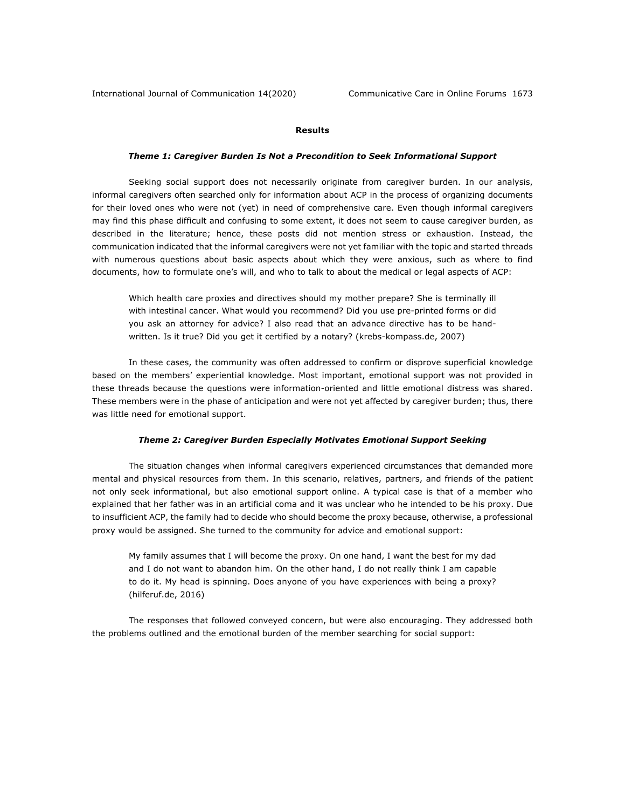# **Results**

#### *Theme 1: Caregiver Burden Is Not a Precondition to Seek Informational Support*

Seeking social support does not necessarily originate from caregiver burden. In our analysis, informal caregivers often searched only for information about ACP in the process of organizing documents for their loved ones who were not (yet) in need of comprehensive care. Even though informal caregivers may find this phase difficult and confusing to some extent, it does not seem to cause caregiver burden, as described in the literature; hence, these posts did not mention stress or exhaustion. Instead, the communication indicated that the informal caregivers were not yet familiar with the topic and started threads with numerous questions about basic aspects about which they were anxious, such as where to find documents, how to formulate one's will, and who to talk to about the medical or legal aspects of ACP:

Which health care proxies and directives should my mother prepare? She is terminally ill with intestinal cancer. What would you recommend? Did you use pre-printed forms or did you ask an attorney for advice? I also read that an advance directive has to be handwritten. Is it true? Did you get it certified by a notary? (krebs-kompass.de, 2007)

In these cases, the community was often addressed to confirm or disprove superficial knowledge based on the members' experiential knowledge. Most important, emotional support was not provided in these threads because the questions were information-oriented and little emotional distress was shared. These members were in the phase of anticipation and were not yet affected by caregiver burden; thus, there was little need for emotional support.

#### *Theme 2: Caregiver Burden Especially Motivates Emotional Support Seeking*

The situation changes when informal caregivers experienced circumstances that demanded more mental and physical resources from them. In this scenario, relatives, partners, and friends of the patient not only seek informational, but also emotional support online. A typical case is that of a member who explained that her father was in an artificial coma and it was unclear who he intended to be his proxy. Due to insufficient ACP, the family had to decide who should become the proxy because, otherwise, a professional proxy would be assigned. She turned to the community for advice and emotional support:

My family assumes that I will become the proxy. On one hand, I want the best for my dad and I do not want to abandon him. On the other hand, I do not really think I am capable to do it. My head is spinning. Does anyone of you have experiences with being a proxy? (hilferuf.de, 2016)

The responses that followed conveyed concern, but were also encouraging. They addressed both the problems outlined and the emotional burden of the member searching for social support: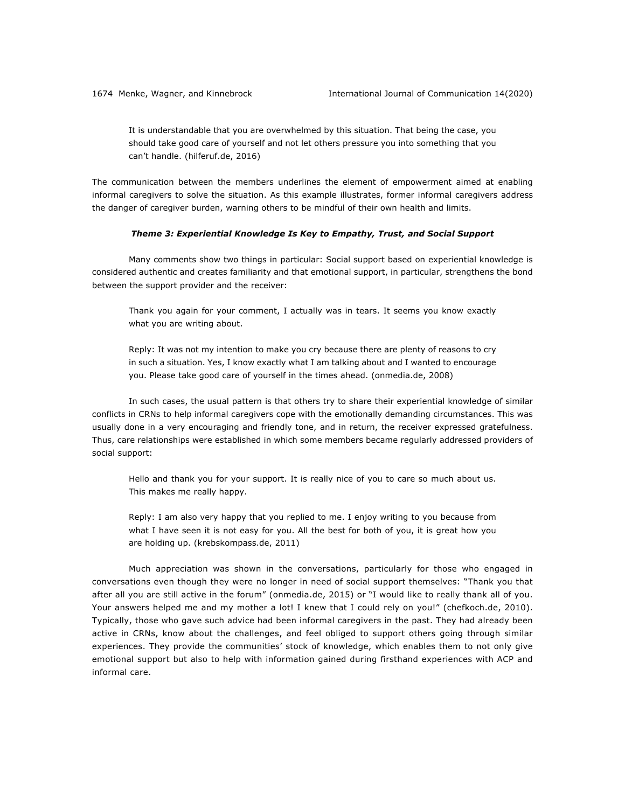It is understandable that you are overwhelmed by this situation. That being the case, you should take good care of yourself and not let others pressure you into something that you can't handle. (hilferuf.de, 2016)

The communication between the members underlines the element of empowerment aimed at enabling informal caregivers to solve the situation. As this example illustrates, former informal caregivers address the danger of caregiver burden, warning others to be mindful of their own health and limits.

#### *Theme 3: Experiential Knowledge Is Key to Empathy, Trust, and Social Support*

Many comments show two things in particular: Social support based on experiential knowledge is considered authentic and creates familiarity and that emotional support, in particular, strengthens the bond between the support provider and the receiver:

Thank you again for your comment, I actually was in tears. It seems you know exactly what you are writing about.

Reply: It was not my intention to make you cry because there are plenty of reasons to cry in such a situation. Yes, I know exactly what I am talking about and I wanted to encourage you. Please take good care of yourself in the times ahead. (onmedia.de, 2008)

In such cases, the usual pattern is that others try to share their experiential knowledge of similar conflicts in CRNs to help informal caregivers cope with the emotionally demanding circumstances. This was usually done in a very encouraging and friendly tone, and in return, the receiver expressed gratefulness. Thus, care relationships were established in which some members became regularly addressed providers of social support:

Hello and thank you for your support. It is really nice of you to care so much about us. This makes me really happy.

Reply: I am also very happy that you replied to me. I enjoy writing to you because from what I have seen it is not easy for you. All the best for both of you, it is great how you are holding up. (krebskompass.de, 2011)

Much appreciation was shown in the conversations, particularly for those who engaged in conversations even though they were no longer in need of social support themselves: "Thank you that after all you are still active in the forum" (onmedia.de, 2015) or "I would like to really thank all of you. Your answers helped me and my mother a lot! I knew that I could rely on you!" (chefkoch.de, 2010). Typically, those who gave such advice had been informal caregivers in the past. They had already been active in CRNs, know about the challenges, and feel obliged to support others going through similar experiences. They provide the communities' stock of knowledge, which enables them to not only give emotional support but also to help with information gained during firsthand experiences with ACP and informal care.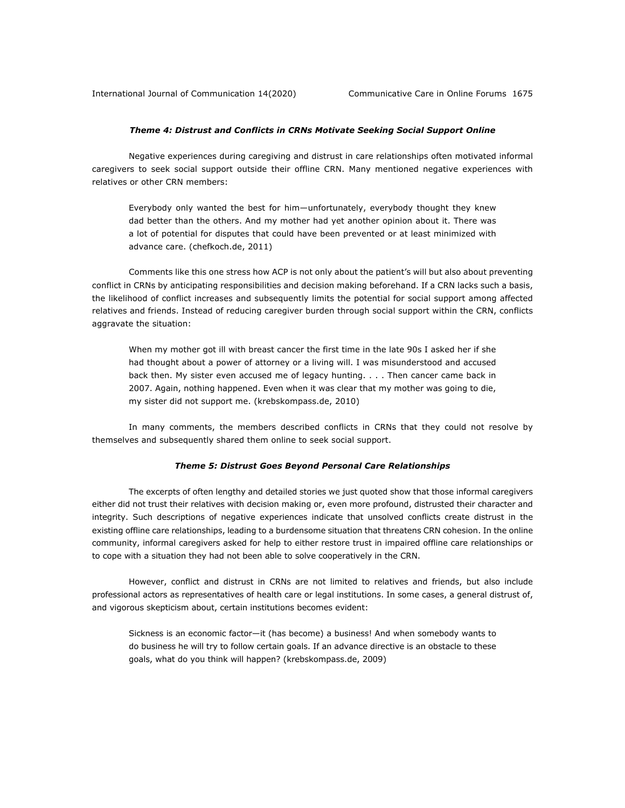# *Theme 4: Distrust and Conflicts in CRNs Motivate Seeking Social Support Online*

Negative experiences during caregiving and distrust in care relationships often motivated informal caregivers to seek social support outside their offline CRN. Many mentioned negative experiences with relatives or other CRN members:

Everybody only wanted the best for him—unfortunately, everybody thought they knew dad better than the others. And my mother had yet another opinion about it. There was a lot of potential for disputes that could have been prevented or at least minimized with advance care. (chefkoch.de, 2011)

Comments like this one stress how ACP is not only about the patient's will but also about preventing conflict in CRNs by anticipating responsibilities and decision making beforehand. If a CRN lacks such a basis, the likelihood of conflict increases and subsequently limits the potential for social support among affected relatives and friends. Instead of reducing caregiver burden through social support within the CRN, conflicts aggravate the situation:

When my mother got ill with breast cancer the first time in the late 90s I asked her if she had thought about a power of attorney or a living will. I was misunderstood and accused back then. My sister even accused me of legacy hunting. . . . Then cancer came back in 2007. Again, nothing happened. Even when it was clear that my mother was going to die, my sister did not support me. (krebskompass.de, 2010)

In many comments, the members described conflicts in CRNs that they could not resolve by themselves and subsequently shared them online to seek social support.

#### *Theme 5: Distrust Goes Beyond Personal Care Relationships*

The excerpts of often lengthy and detailed stories we just quoted show that those informal caregivers either did not trust their relatives with decision making or, even more profound, distrusted their character and integrity. Such descriptions of negative experiences indicate that unsolved conflicts create distrust in the existing offline care relationships, leading to a burdensome situation that threatens CRN cohesion. In the online community, informal caregivers asked for help to either restore trust in impaired offline care relationships or to cope with a situation they had not been able to solve cooperatively in the CRN.

However, conflict and distrust in CRNs are not limited to relatives and friends, but also include professional actors as representatives of health care or legal institutions. In some cases, a general distrust of, and vigorous skepticism about, certain institutions becomes evident:

Sickness is an economic factor—it (has become) a business! And when somebody wants to do business he will try to follow certain goals. If an advance directive is an obstacle to these goals, what do you think will happen? (krebskompass.de, 2009)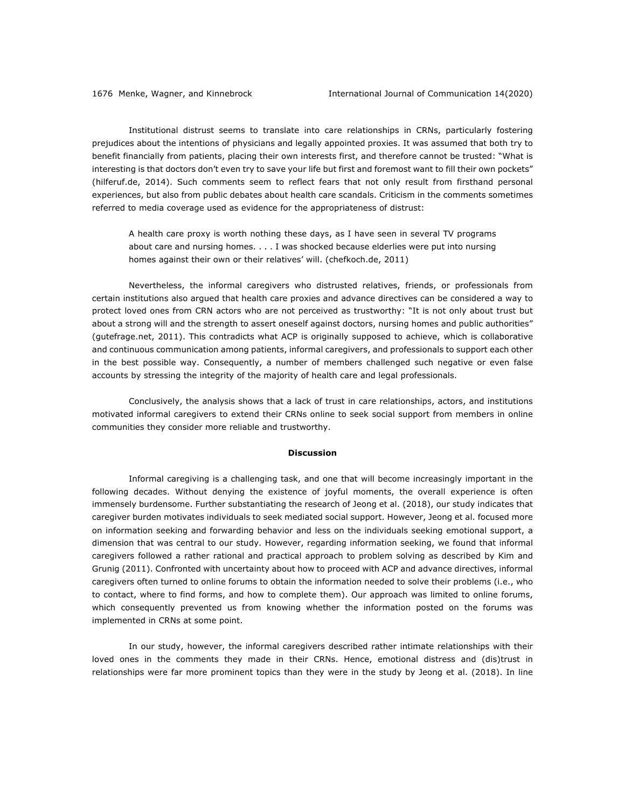Institutional distrust seems to translate into care relationships in CRNs, particularly fostering prejudices about the intentions of physicians and legally appointed proxies. It was assumed that both try to benefit financially from patients, placing their own interests first, and therefore cannot be trusted: "What is interesting is that doctors don't even try to save your life but first and foremost want to fill their own pockets" (hilferuf.de, 2014). Such comments seem to reflect fears that not only result from firsthand personal experiences, but also from public debates about health care scandals. Criticism in the comments sometimes referred to media coverage used as evidence for the appropriateness of distrust:

A health care proxy is worth nothing these days, as I have seen in several TV programs about care and nursing homes. . . . I was shocked because elderlies were put into nursing homes against their own or their relatives' will. (chefkoch.de, 2011)

Nevertheless, the informal caregivers who distrusted relatives, friends, or professionals from certain institutions also argued that health care proxies and advance directives can be considered a way to protect loved ones from CRN actors who are not perceived as trustworthy: "It is not only about trust but about a strong will and the strength to assert oneself against doctors, nursing homes and public authorities" (gutefrage.net, 2011). This contradicts what ACP is originally supposed to achieve, which is collaborative and continuous communication among patients, informal caregivers, and professionals to support each other in the best possible way. Consequently, a number of members challenged such negative or even false accounts by stressing the integrity of the majority of health care and legal professionals.

Conclusively, the analysis shows that a lack of trust in care relationships, actors, and institutions motivated informal caregivers to extend their CRNs online to seek social support from members in online communities they consider more reliable and trustworthy.

## **Discussion**

Informal caregiving is a challenging task, and one that will become increasingly important in the following decades. Without denying the existence of joyful moments, the overall experience is often immensely burdensome. Further substantiating the research of Jeong et al. (2018), our study indicates that caregiver burden motivates individuals to seek mediated social support. However, Jeong et al. focused more on information seeking and forwarding behavior and less on the individuals seeking emotional support, a dimension that was central to our study. However, regarding information seeking, we found that informal caregivers followed a rather rational and practical approach to problem solving as described by Kim and Grunig (2011). Confronted with uncertainty about how to proceed with ACP and advance directives, informal caregivers often turned to online forums to obtain the information needed to solve their problems (i.e., who to contact, where to find forms, and how to complete them). Our approach was limited to online forums, which consequently prevented us from knowing whether the information posted on the forums was implemented in CRNs at some point.

In our study, however, the informal caregivers described rather intimate relationships with their loved ones in the comments they made in their CRNs. Hence, emotional distress and (dis)trust in relationships were far more prominent topics than they were in the study by Jeong et al. (2018). In line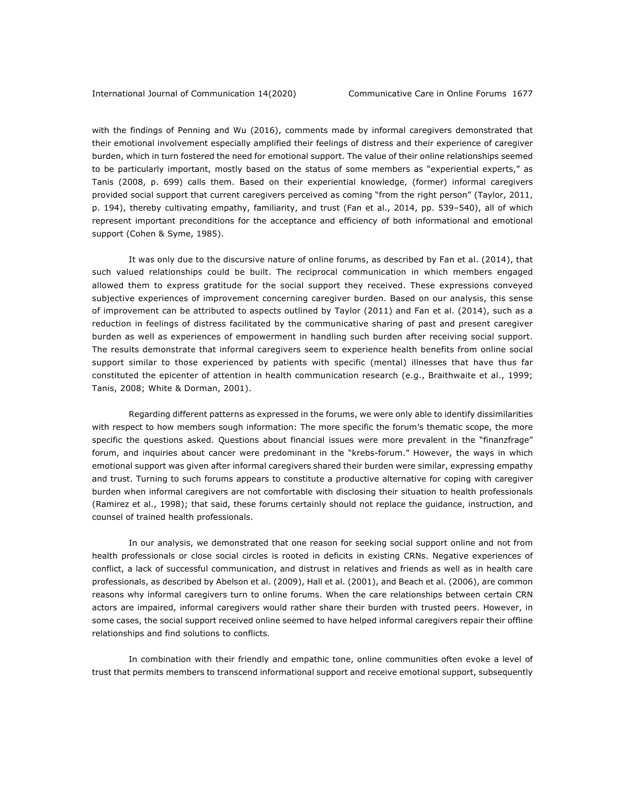with the findings of Penning and Wu (2016), comments made by informal caregivers demonstrated that their emotional involvement especially amplified their feelings of distress and their experience of caregiver burden, which in turn fostered the need for emotional support. The value of their online relationships seemed to be particularly important, mostly based on the status of some members as "experiential experts," as Tanis (2008, p. 699) calls them. Based on their experiential knowledge, (former) informal caregivers provided social support that current caregivers perceived as coming "from the right person" (Taylor, 2011, p. 194), thereby cultivating empathy, familiarity, and trust (Fan et al., 2014, pp. 539–540), all of which represent important preconditions for the acceptance and efficiency of both informational and emotional support (Cohen & Syme, 1985).

It was only due to the discursive nature of online forums, as described by Fan et al. (2014), that such valued relationships could be built. The reciprocal communication in which members engaged allowed them to express gratitude for the social support they received. These expressions conveyed subjective experiences of improvement concerning caregiver burden. Based on our analysis, this sense of improvement can be attributed to aspects outlined by Taylor (2011) and Fan et al. (2014), such as a reduction in feelings of distress facilitated by the communicative sharing of past and present caregiver burden as well as experiences of empowerment in handling such burden after receiving social support. The results demonstrate that informal caregivers seem to experience health benefits from online social support similar to those experienced by patients with specific (mental) illnesses that have thus far constituted the epicenter of attention in health communication research (e.g., Braithwaite et al., 1999; Tanis, 2008; White & Dorman, 2001).

Regarding different patterns as expressed in the forums, we were only able to identify dissimilarities with respect to how members sough information: The more specific the forum's thematic scope, the more specific the questions asked. Questions about financial issues were more prevalent in the "finanzfrage" forum, and inquiries about cancer were predominant in the "krebs-forum." However, the ways in which emotional support was given after informal caregivers shared their burden were similar, expressing empathy and trust. Turning to such forums appears to constitute a productive alternative for coping with caregiver burden when informal caregivers are not comfortable with disclosing their situation to health professionals (Ramirez et al., 1998); that said, these forums certainly should not replace the guidance, instruction, and counsel of trained health professionals.

In our analysis, we demonstrated that one reason for seeking social support online and not from health professionals or close social circles is rooted in deficits in existing CRNs. Negative experiences of conflict, a lack of successful communication, and distrust in relatives and friends as well as in health care professionals, as described by Abelson et al. (2009), Hall et al. (2001), and Beach et al. (2006), are common reasons why informal caregivers turn to online forums. When the care relationships between certain CRN actors are impaired, informal caregivers would rather share their burden with trusted peers. However, in some cases, the social support received online seemed to have helped informal caregivers repair their offline relationships and find solutions to conflicts.

In combination with their friendly and empathic tone, online communities often evoke a level of trust that permits members to transcend informational support and receive emotional support, subsequently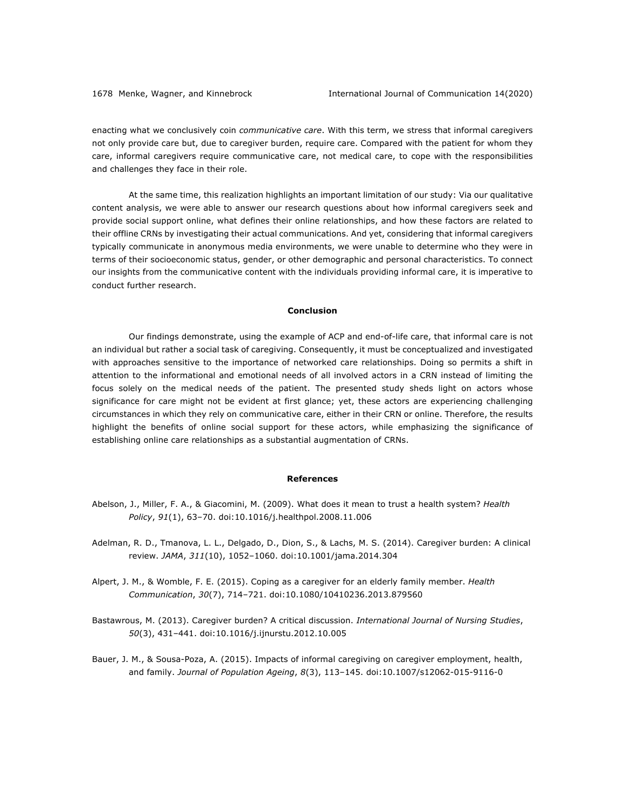enacting what we conclusively coin *communicative care*. With this term, we stress that informal caregivers not only provide care but, due to caregiver burden, require care. Compared with the patient for whom they care, informal caregivers require communicative care, not medical care, to cope with the responsibilities and challenges they face in their role.

At the same time, this realization highlights an important limitation of our study: Via our qualitative content analysis, we were able to answer our research questions about how informal caregivers seek and provide social support online, what defines their online relationships, and how these factors are related to their offline CRNs by investigating their actual communications. And yet, considering that informal caregivers typically communicate in anonymous media environments, we were unable to determine who they were in terms of their socioeconomic status, gender, or other demographic and personal characteristics. To connect our insights from the communicative content with the individuals providing informal care, it is imperative to conduct further research.

## **Conclusion**

Our findings demonstrate, using the example of ACP and end-of-life care, that informal care is not an individual but rather a social task of caregiving. Consequently, it must be conceptualized and investigated with approaches sensitive to the importance of networked care relationships. Doing so permits a shift in attention to the informational and emotional needs of all involved actors in a CRN instead of limiting the focus solely on the medical needs of the patient. The presented study sheds light on actors whose significance for care might not be evident at first glance; yet, these actors are experiencing challenging circumstances in which they rely on communicative care, either in their CRN or online. Therefore, the results highlight the benefits of online social support for these actors, while emphasizing the significance of establishing online care relationships as a substantial augmentation of CRNs.

#### **References**

- Abelson, J., Miller, F. A., & Giacomini, M. (2009). What does it mean to trust a health system? *Health Policy*, *91*(1), 63–70. doi:10.1016/j.healthpol.2008.11.006
- Adelman, R. D., Tmanova, L. L., Delgado, D., Dion, S., & Lachs, M. S. (2014). Caregiver burden: A clinical review. *JAMA*, *311*(10), 1052–1060. doi:10.1001/jama.2014.304
- Alpert, J. M., & Womble, F. E. (2015). Coping as a caregiver for an elderly family member. *Health Communication*, *30*(7), 714–721. doi:10.1080/10410236.2013.879560
- Bastawrous, M. (2013). Caregiver burden? A critical discussion. *International Journal of Nursing Studies*, *50*(3), 431–441. doi:10.1016/j.ijnurstu.2012.10.005
- Bauer, J. M., & Sousa-Poza, A. (2015). Impacts of informal caregiving on caregiver employment, health, and family. *Journal of Population Ageing*, *8*(3), 113–145. doi:10.1007/s12062-015-9116-0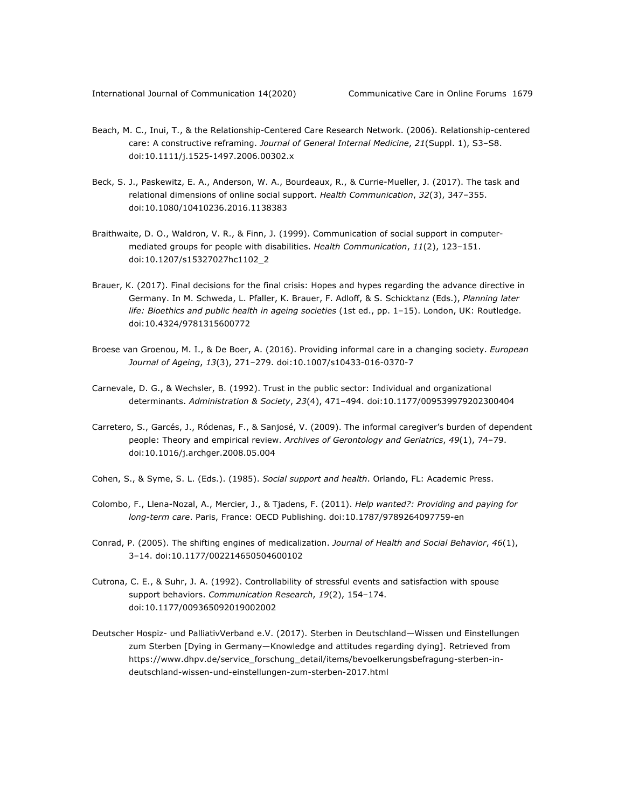- Beach, M. C., Inui, T., & the Relationship-Centered Care Research Network. (2006). Relationship-centered care: A constructive reframing. *Journal of General Internal Medicine*, *21*(Suppl. 1), S3–S8. doi:10.1111/j.1525-1497.2006.00302.x
- Beck, S. J., Paskewitz, E. A., Anderson, W. A., Bourdeaux, R., & Currie-Mueller, J. (2017). The task and relational dimensions of online social support. *Health Communication*, *32*(3), 347–355. doi:10.1080/10410236.2016.1138383
- Braithwaite, D. O., Waldron, V. R., & Finn, J. (1999). Communication of social support in computermediated groups for people with disabilities. *Health Communication*, *11*(2), 123–151. doi:10.1207/s15327027hc1102\_2
- Brauer, K. (2017). Final decisions for the final crisis: Hopes and hypes regarding the advance directive in Germany. In M. Schweda, L. Pfaller, K. Brauer, F. Adloff, & S. Schicktanz (Eds.), *Planning later life: Bioethics and public health in ageing societies* (1st ed., pp. 1–15). London, UK: Routledge. doi:10.4324/9781315600772
- Broese van Groenou, M. I., & De Boer, A. (2016). Providing informal care in a changing society. *European Journal of Ageing*, *13*(3), 271–279. doi:10.1007/s10433-016-0370-7
- Carnevale, D. G., & Wechsler, B. (1992). Trust in the public sector: Individual and organizational determinants. *Administration & Society*, *23*(4), 471–494. doi:10.1177/009539979202300404
- Carretero, S., Garcés, J., Ródenas, F., & Sanjosé, V. (2009). The informal caregiver's burden of dependent people: Theory and empirical review. *Archives of Gerontology and Geriatrics*, *49*(1), 74–79. doi:10.1016/j.archger.2008.05.004
- Cohen, S., & Syme, S. L. (Eds.). (1985). *Social support and health*. Orlando, FL: Academic Press.
- Colombo, F., Llena-Nozal, A., Mercier, J., & Tjadens, F. (2011). *Help wanted?: Providing and paying for long-term care*. Paris, France: OECD Publishing. doi:10.1787/9789264097759-en
- Conrad, P. (2005). The shifting engines of medicalization. *Journal of Health and Social Behavior*, *46*(1), 3–14. doi:10.1177/002214650504600102
- Cutrona, C. E., & Suhr, J. A. (1992). Controllability of stressful events and satisfaction with spouse support behaviors. *Communication Research*, *19*(2), 154–174. doi:10.1177/009365092019002002
- Deutscher Hospiz- und PalliativVerband e.V. (2017). Sterben in Deutschland—Wissen und Einstellungen zum Sterben [Dying in Germany—Knowledge and attitudes regarding dying]. Retrieved from https://www.dhpv.de/service\_forschung\_detail/items/bevoelkerungsbefragung-sterben-indeutschland-wissen-und-einstellungen-zum-sterben-2017.html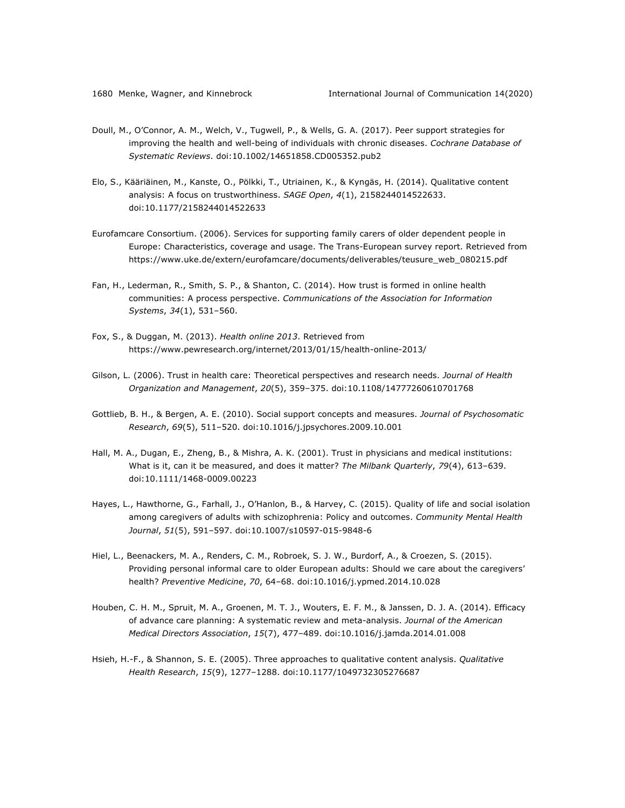- Doull, M., O'Connor, A. M., Welch, V., Tugwell, P., & Wells, G. A. (2017). Peer support strategies for improving the health and well-being of individuals with chronic diseases. *Cochrane Database of Systematic Reviews*. doi:10.1002/14651858.CD005352.pub2
- Elo, S., Kääriäinen, M., Kanste, O., Pölkki, T., Utriainen, K., & Kyngäs, H. (2014). Qualitative content analysis: A focus on trustworthiness. *SAGE Open*, *4*(1), 2158244014522633. doi:10.1177/2158244014522633
- Eurofamcare Consortium. (2006). Services for supporting family carers of older dependent people in Europe: Characteristics, coverage and usage. The Trans-European survey report. Retrieved from https://www.uke.de/extern/eurofamcare/documents/deliverables/teusure\_web\_080215.pdf
- Fan, H., Lederman, R., Smith, S. P., & Shanton, C. (2014). How trust is formed in online health communities: A process perspective. *Communications of the Association for Information Systems*, *34*(1), 531–560.
- Fox, S., & Duggan, M. (2013). *Health online 2013*. Retrieved from https://www.pewresearch.org/internet/2013/01/15/health-online-2013/
- Gilson, L. (2006). Trust in health care: Theoretical perspectives and research needs. *Journal of Health Organization and Management*, *20*(5), 359–375. doi:10.1108/14777260610701768
- Gottlieb, B. H., & Bergen, A. E. (2010). Social support concepts and measures. *Journal of Psychosomatic Research*, *69*(5), 511–520. doi:10.1016/j.jpsychores.2009.10.001
- Hall, M. A., Dugan, E., Zheng, B., & Mishra, A. K. (2001). Trust in physicians and medical institutions: What is it, can it be measured, and does it matter? *The Milbank Quarterly*, *79*(4), 613–639. doi:10.1111/1468-0009.00223
- Hayes, L., Hawthorne, G., Farhall, J., O'Hanlon, B., & Harvey, C. (2015). Quality of life and social isolation among caregivers of adults with schizophrenia: Policy and outcomes. *Community Mental Health Journal*, *51*(5), 591–597. doi:10.1007/s10597-015-9848-6
- Hiel, L., Beenackers, M. A., Renders, C. M., Robroek, S. J. W., Burdorf, A., & Croezen, S. (2015). Providing personal informal care to older European adults: Should we care about the caregivers' health? *Preventive Medicine*, *70*, 64–68. doi:10.1016/j.ypmed.2014.10.028
- Houben, C. H. M., Spruit, M. A., Groenen, M. T. J., Wouters, E. F. M., & Janssen, D. J. A. (2014). Efficacy of advance care planning: A systematic review and meta-analysis. *Journal of the American Medical Directors Association*, *15*(7), 477–489. doi:10.1016/j.jamda.2014.01.008
- Hsieh, H.-F., & Shannon, S. E. (2005). Three approaches to qualitative content analysis. *Qualitative Health Research*, *15*(9), 1277–1288. doi:10.1177/1049732305276687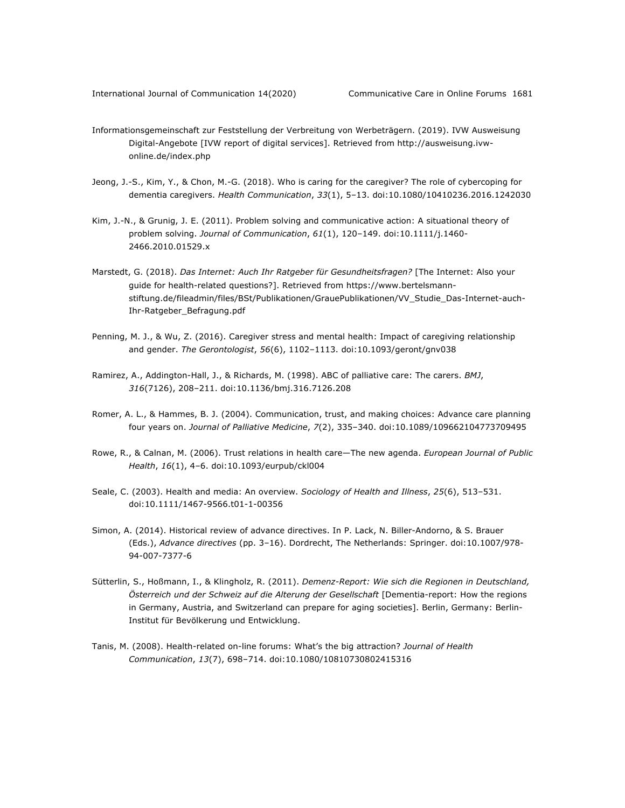- Informationsgemeinschaft zur Feststellung der Verbreitung von Werbeträgern. (2019). IVW Ausweisung Digital-Angebote [IVW report of digital services]. Retrieved from http://ausweisung.ivwonline.de/index.php
- Jeong, J.-S., Kim, Y., & Chon, M.-G. (2018). Who is caring for the caregiver? The role of cybercoping for dementia caregivers. *Health Communication*, *33*(1), 5–13. doi:10.1080/10410236.2016.1242030
- Kim, J.-N., & Grunig, J. E. (2011). Problem solving and communicative action: A situational theory of problem solving. *Journal of Communication*, *61*(1), 120–149. doi:10.1111/j.1460- 2466.2010.01529.x
- Marstedt, G. (2018). *Das Internet: Auch Ihr Ratgeber für Gesundheitsfragen?* [The Internet: Also your guide for health-related questions?]. Retrieved from https://www.bertelsmannstiftung.de/fileadmin/files/BSt/Publikationen/GrauePublikationen/VV\_Studie\_Das-Internet-auch-Ihr-Ratgeber\_Befragung.pdf
- Penning, M. J., & Wu, Z. (2016). Caregiver stress and mental health: Impact of caregiving relationship and gender. *The Gerontologist*, *56*(6), 1102–1113. doi:10.1093/geront/gnv038
- Ramirez, A., Addington-Hall, J., & Richards, M. (1998). ABC of palliative care: The carers. *BMJ*, *316*(7126), 208–211. doi:10.1136/bmj.316.7126.208
- Romer, A. L., & Hammes, B. J. (2004). Communication, trust, and making choices: Advance care planning four years on. *Journal of Palliative Medicine*, *7*(2), 335–340. doi:10.1089/109662104773709495
- Rowe, R., & Calnan, M. (2006). Trust relations in health care—The new agenda. *European Journal of Public Health*, *16*(1), 4–6. doi:10.1093/eurpub/ckl004
- Seale, C. (2003). Health and media: An overview. *Sociology of Health and Illness*, *25*(6), 513–531. doi:10.1111/1467-9566.t01-1-00356
- Simon, A. (2014). Historical review of advance directives. In P. Lack, N. Biller-Andorno, & S. Brauer (Eds.), *Advance directives* (pp. 3–16). Dordrecht, The Netherlands: Springer. doi:10.1007/978- 94-007-7377-6
- Sütterlin, S., Hoßmann, I., & Klingholz, R. (2011). *Demenz-Report: Wie sich die Regionen in Deutschland,*  Österreich und der Schweiz auf die Alterung der Gesellschaft [Dementia-report: How the regions in Germany, Austria, and Switzerland can prepare for aging societies]. Berlin, Germany: Berlin-Institut für Bevölkerung und Entwicklung.
- Tanis, M. (2008). Health-related on-line forums: What's the big attraction? *Journal of Health Communication*, *13*(7), 698–714. doi:10.1080/10810730802415316